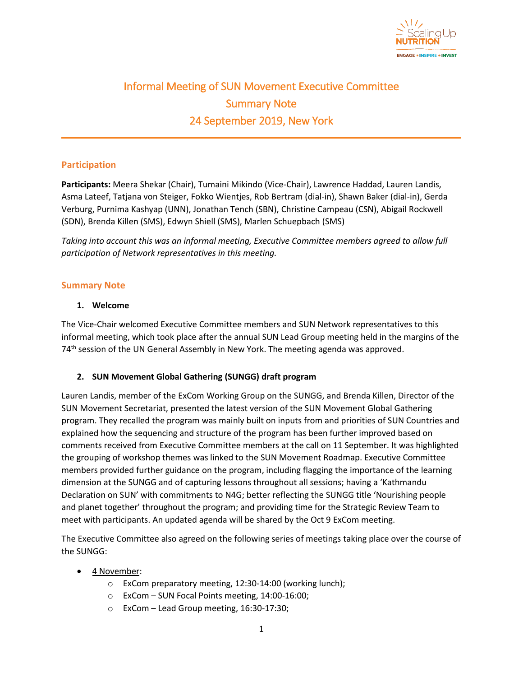

# Informal Meeting of SUN Movement Executive Committee Summary Note 24 September 2019, New York

## **Participation**

**Participants:** Meera Shekar (Chair), Tumaini Mikindo (Vice-Chair), Lawrence Haddad, Lauren Landis, Asma Lateef, Tatjana von Steiger, Fokko Wientjes, Rob Bertram (dial-in), Shawn Baker (dial-in), Gerda Verburg, Purnima Kashyap (UNN), Jonathan Tench (SBN), Christine Campeau (CSN), Abigail Rockwell (SDN), Brenda Killen (SMS), Edwyn Shiell (SMS), Marlen Schuepbach (SMS)

*Taking into account this was an informal meeting, Executive Committee members agreed to allow full participation of Network representatives in this meeting.*

### **Summary Note**

### **1. Welcome**

The Vice-Chair welcomed Executive Committee members and SUN Network representatives to this informal meeting, which took place after the annual SUN Lead Group meeting held in the margins of the 74<sup>th</sup> session of the UN General Assembly in New York. The meeting agenda was approved.

## **2. SUN Movement Global Gathering (SUNGG) draft program**

Lauren Landis, member of the ExCom Working Group on the SUNGG, and Brenda Killen, Director of the SUN Movement Secretariat, presented the latest version of the SUN Movement Global Gathering program. They recalled the program was mainly built on inputs from and priorities of SUN Countries and explained how the sequencing and structure of the program has been further improved based on comments received from Executive Committee members at the call on 11 September. It was highlighted the grouping of workshop themes was linked to the SUN Movement Roadmap. Executive Committee members provided further guidance on the program, including flagging the importance of the learning dimension at the SUNGG and of capturing lessons throughout all sessions; having a 'Kathmandu Declaration on SUN' with commitments to N4G; better reflecting the SUNGG title 'Nourishing people and planet together' throughout the program; and providing time for the Strategic Review Team to meet with participants. An updated agenda will be shared by the Oct 9 ExCom meeting.

The Executive Committee also agreed on the following series of meetings taking place over the course of the SUNGG:

- 4 November:
	- o ExCom preparatory meeting, 12:30-14:00 (working lunch);
	- o ExCom SUN Focal Points meeting, 14:00-16:00;
	- o ExCom Lead Group meeting, 16:30-17:30;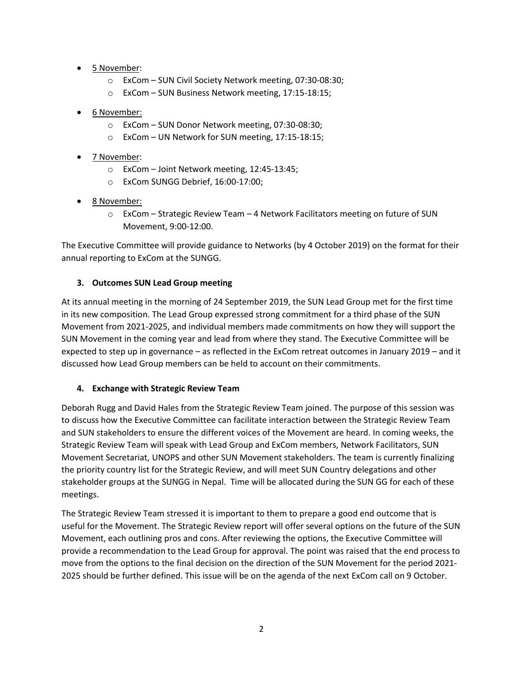- 5 November:
	- o ExCom SUN Civil Society Network meeting, 07:30-08:30;
	- o ExCom SUN Business Network meeting, 17:15-18:15;
- 6 November:
	- o ExCom SUN Donor Network meeting, 07:30-08:30;
	- o ExCom UN Network for SUN meeting, 17:15-18:15;
- 7 November:
	- o ExCom Joint Network meeting, 12:45-13:45;
	- o ExCom SUNGG Debrief, 16:00-17:00;
- <u>8 November:</u>
	- $\circ$  ExCom Strategic Review Team 4 Network Facilitators meeting on future of SUN Movement, 9:00-12:00.

The Executive Committee will provide guidance to Networks (by 4 October 2019) on the format for their annual reporting to ExCom at the SUNGG.

### **3. Outcomes SUN Lead Group meeting**

At its annual meeting in the morning of 24 September 2019, the SUN Lead Group met for the first time in its new composition. The Lead Group expressed strong commitment for a third phase of the SUN Movement from 2021-2025, and individual members made commitments on how they will support the SUN Movement in the coming year and lead from where they stand. The Executive Committee will be expected to step up in governance – as reflected in the ExCom retreat outcomes in January 2019 – and it discussed how Lead Group members can be held to account on their commitments.

#### **4. Exchange with Strategic Review Team**

Deborah Rugg and David Hales from the Strategic Review Team joined. The purpose of this session was to discuss how the Executive Committee can facilitate interaction between the Strategic Review Team and SUN stakeholders to ensure the different voices of the Movement are heard. In coming weeks, the Strategic Review Team will speak with Lead Group and ExCom members, Network Facilitators, SUN Movement Secretariat, UNOPS and other SUN Movement stakeholders. The team is currently finalizing the priority country list for the Strategic Review, and will meet SUN Country delegations and other stakeholder groups at the SUNGG in Nepal. Time will be allocated during the SUN GG for each of these meetings.

The Strategic Review Team stressed it is important to them to prepare a good end outcome that is useful for the Movement. The Strategic Review report will offer several options on the future of the SUN Movement, each outlining pros and cons. After reviewing the options, the Executive Committee will provide a recommendation to the Lead Group for approval. The point was raised that the end process to move from the options to the final decision on the direction of the SUN Movement for the period 2021- 2025 should be further defined. This issue will be on the agenda of the next ExCom call on 9 October.